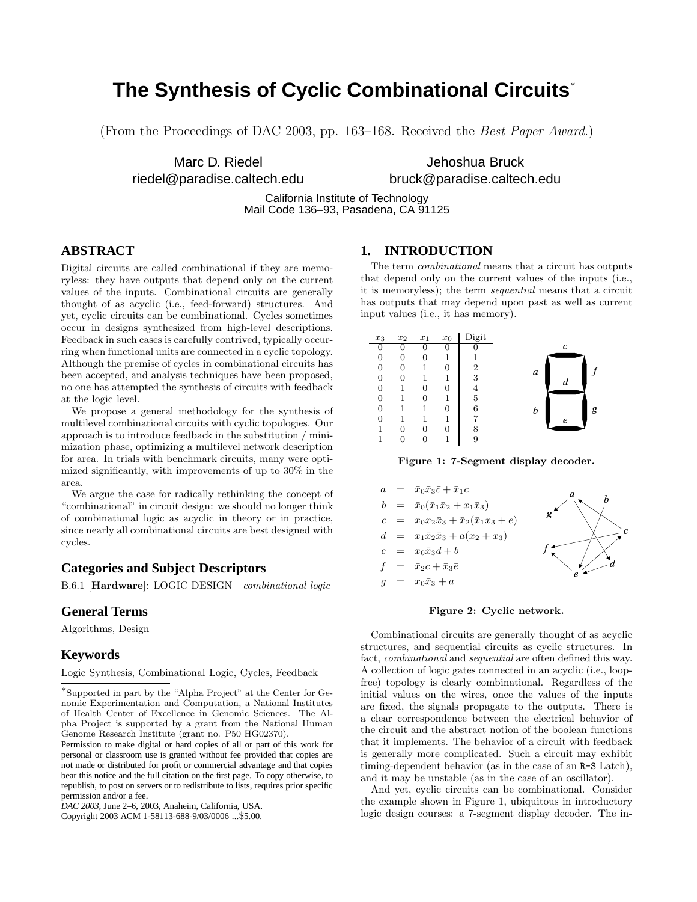# **The Synthesis of Cyclic Combinational Circuits**<sup>∗</sup>

(From the Proceedings of DAC 2003, pp. 163–168. Received the Best Paper Award.)

Marc D. Riedel riedel@paradise.caltech.edu

Jehoshua Bruck bruck@paradise.caltech.edu

California Institute of Technology Mail Code 136–93, Pasadena, CA 91125

## **ABSTRACT**

Digital circuits are called combinational if they are memoryless: they have outputs that depend only on the current values of the inputs. Combinational circuits are generally thought of as acyclic (i.e., feed-forward) structures. And yet, cyclic circuits can be combinational. Cycles sometimes occur in designs synthesized from high-level descriptions. Feedback in such cases is carefully contrived, typically occurring when functional units are connected in a cyclic topology. Although the premise of cycles in combinational circuits has been accepted, and analysis techniques have been proposed, no one has attempted the synthesis of circuits with feedback at the logic level.

We propose a general methodology for the synthesis of multilevel combinational circuits with cyclic topologies. Our approach is to introduce feedback in the substitution / minimization phase, optimizing a multilevel network description for area. In trials with benchmark circuits, many were optimized significantly, with improvements of up to 30% in the area.

We argue the case for radically rethinking the concept of "combinational" in circuit design: we should no longer think of combinational logic as acyclic in theory or in practice, since nearly all combinational circuits are best designed with cycles.

## **Categories and Subject Descriptors**

B.6.1 [Hardware]: LOGIC DESIGN—combinational logic

## **General Terms**

Algorithms, Design

## **Keywords**

Logic Synthesis, Combinational Logic, Cycles, Feedback

Copyright 2003 ACM 1-58113-688-9/03/0006 ...\$5.00.

## **1. INTRODUCTION**

The term combinational means that a circuit has outputs that depend only on the current values of the inputs (i.e., it is memoryless); the term sequential means that a circuit has outputs that may depend upon past as well as current input values (i.e., it has memory).



Figure 1: 7-Segment display decoder.



Figure 2: Cyclic network.

Combinational circuits are generally thought of as acyclic structures, and sequential circuits as cyclic structures. In fact, combinational and sequential are often defined this way. A collection of logic gates connected in an acyclic (i.e., loopfree) topology is clearly combinational. Regardless of the initial values on the wires, once the values of the inputs are fixed, the signals propagate to the outputs. There is a clear correspondence between the electrical behavior of the circuit and the abstract notion of the boolean functions that it implements. The behavior of a circuit with feedback is generally more complicated. Such a circuit may exhibit timing-dependent behavior (as in the case of an R-S Latch), and it may be unstable (as in the case of an oscillator).

And yet, cyclic circuits can be combinational. Consider the example shown in Figure 1, ubiquitous in introductory logic design courses: a 7-segment display decoder. The in-

<sup>∗</sup> Supported in part by the "Alpha Project" at the Center for Genomic Experimentation and Computation, a National Institutes of Health Center of Excellence in Genomic Sciences. The Alpha Project is supported by a grant from the National Human Genome Research Institute (grant no. P50 HG02370).

Permission to make digital or hard copies of all or part of this work for personal or classroom use is granted without fee provided that copies are not made or distributed for profit or commercial advantage and that copies bear this notice and the full citation on the first page. To copy otherwise, to republish, to post on servers or to redistribute to lists, requires prior specific permission and/or a fee.

*DAC 2003,* June 2–6, 2003, Anaheim, California, USA.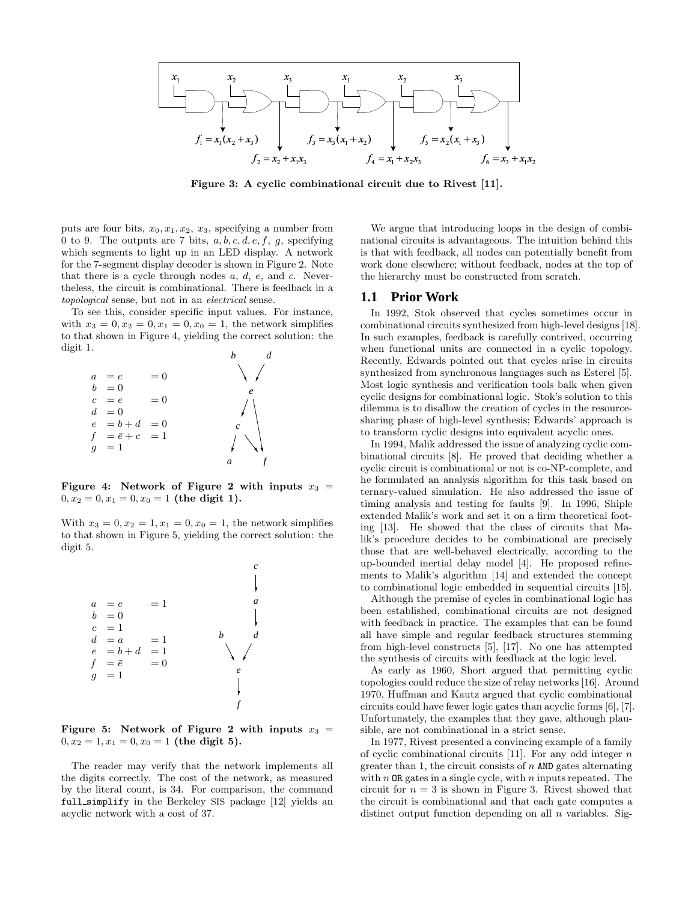

Figure 3: A cyclic combinational circuit due to Rivest [11].

puts are four bits,  $x_0, x_1, x_2, x_3$ , specifying a number from 0 to 9. The outputs are 7 bits,  $a, b, c, d, e, f, g$ , specifying which segments to light up in an LED display. A network for the 7-segment display decoder is shown in Figure 2. Note that there is a cycle through nodes  $a, d, e$ , and  $c$ . Nevertheless, the circuit is combinational. There is feedback in a topological sense, but not in an electrical sense.

To see this, consider specific input values. For instance, with  $x_3 = 0, x_2 = 0, x_1 = 0, x_0 = 1$ , the network simplifies to that shown in Figure 4, yielding the correct solution: the digit 1.



Figure 4: Network of Figure 2 with inputs  $x_3 =$  $0, x_2 = 0, x_1 = 0, x_0 = 1$  (the digit 1).

With  $x_3 = 0, x_2 = 1, x_1 = 0, x_0 = 1$ , the network simplifies to that shown in Figure 5, yielding the correct solution: the digit 5.



Figure 5: Network of Figure 2 with inputs  $x_3 =$  $0, x_2 = 1, x_1 = 0, x_0 = 1$  (the digit 5).

The reader may verify that the network implements all the digits correctly. The cost of the network, as measured by the literal count, is 34. For comparison, the command full simplify in the Berkeley SIS package [12] yields an acyclic network with a cost of 37.

We argue that introducing loops in the design of combinational circuits is advantageous. The intuition behind this is that with feedback, all nodes can potentially benefit from work done elsewhere; without feedback, nodes at the top of the hierarchy must be constructed from scratch.

### **1.1 Prior Work**

In 1992, Stok observed that cycles sometimes occur in combinational circuits synthesized from high-level designs [18]. In such examples, feedback is carefully contrived, occurring when functional units are connected in a cyclic topology. Recently, Edwards pointed out that cycles arise in circuits synthesized from synchronous languages such as Esterel [5]. Most logic synthesis and verification tools balk when given cyclic designs for combinational logic. Stok's solution to this dilemma is to disallow the creation of cycles in the resourcesharing phase of high-level synthesis; Edwards' approach is to transform cyclic designs into equivalent acyclic ones.

In 1994, Malik addressed the issue of analyzing cyclic combinational circuits [8]. He proved that deciding whether a cyclic circuit is combinational or not is co-NP-complete, and he formulated an analysis algorithm for this task based on ternary-valued simulation. He also addressed the issue of timing analysis and testing for faults [9]. In 1996, Shiple extended Malik's work and set it on a firm theoretical footing [13]. He showed that the class of circuits that Malik's procedure decides to be combinational are precisely those that are well-behaved electrically, according to the up-bounded inertial delay model [4]. He proposed refinements to Malik's algorithm [14] and extended the concept to combinational logic embedded in sequential circuits [15].

Although the premise of cycles in combinational logic has been established, combinational circuits are not designed with feedback in practice. The examples that can be found all have simple and regular feedback structures stemming from high-level constructs [5], [17]. No one has attempted the synthesis of circuits with feedback at the logic level.

As early as 1960, Short argued that permitting cyclic topologies could reduce the size of relay networks [16]. Around 1970, Huffman and Kautz argued that cyclic combinational circuits could have fewer logic gates than acyclic forms [6], [7]. Unfortunately, the examples that they gave, although plausible, are not combinational in a strict sense.

In 1977, Rivest presented a convincing example of a family of cyclic combinational circuits  $[11]$ . For any odd integer n greater than 1, the circuit consists of  $n$  AND gates alternating with  $n \text{ OR gates in a single cycle, with } n \text{ inputs repeated. The}$ circuit for  $n = 3$  is shown in Figure 3. Rivest showed that the circuit is combinational and that each gate computes a distinct output function depending on all  $n$  variables. Sig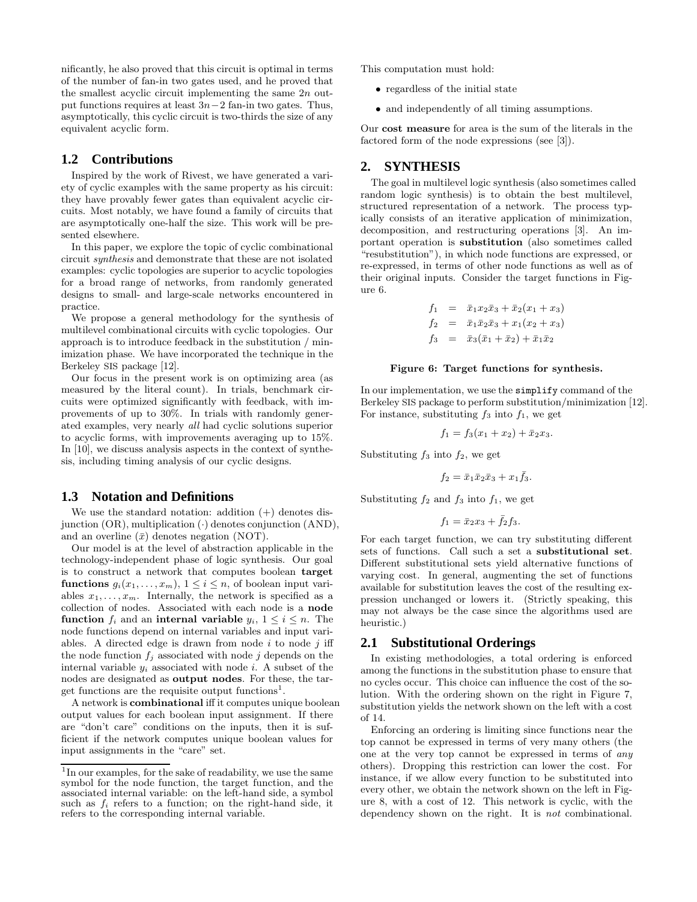nificantly, he also proved that this circuit is optimal in terms of the number of fan-in two gates used, and he proved that the smallest acyclic circuit implementing the same 2n output functions requires at least  $3n-2$  fan-in two gates. Thus, asymptotically, this cyclic circuit is two-thirds the size of any equivalent acyclic form.

## **1.2 Contributions**

Inspired by the work of Rivest, we have generated a variety of cyclic examples with the same property as his circuit: they have provably fewer gates than equivalent acyclic circuits. Most notably, we have found a family of circuits that are asymptotically one-half the size. This work will be presented elsewhere.

In this paper, we explore the topic of cyclic combinational circuit synthesis and demonstrate that these are not isolated examples: cyclic topologies are superior to acyclic topologies for a broad range of networks, from randomly generated designs to small- and large-scale networks encountered in practice.

We propose a general methodology for the synthesis of multilevel combinational circuits with cyclic topologies. Our approach is to introduce feedback in the substitution / minimization phase. We have incorporated the technique in the Berkeley SIS package [12].

Our focus in the present work is on optimizing area (as measured by the literal count). In trials, benchmark circuits were optimized significantly with feedback, with improvements of up to 30%. In trials with randomly generated examples, very nearly all had cyclic solutions superior to acyclic forms, with improvements averaging up to 15%. In [10], we discuss analysis aspects in the context of synthesis, including timing analysis of our cyclic designs.

## **1.3 Notation and Definitions**

We use the standard notation: addition  $(+)$  denotes disjunction  $(OR)$ , multiplication  $(·)$  denotes conjunction  $(AND)$ , and an overline  $(\bar{x})$  denotes negation (NOT).

Our model is at the level of abstraction applicable in the technology-independent phase of logic synthesis. Our goal is to construct a network that computes boolean target functions  $g_i(x_1, \ldots, x_m)$ ,  $1 \leq i \leq n$ , of boolean input variables  $x_1, \ldots, x_m$ . Internally, the network is specified as a collection of nodes. Associated with each node is a node function  $f_i$  and an internal variable  $y_i$ ,  $1 \leq i \leq n$ . The node functions depend on internal variables and input variables. A directed edge is drawn from node  $i$  to node  $j$  iff the node function  $f_i$  associated with node j depends on the internal variable  $y_i$  associated with node i. A subset of the nodes are designated as output nodes. For these, the target functions are the requisite output functions<sup>1</sup>.

A network is combinational iff it computes unique boolean output values for each boolean input assignment. If there are "don't care" conditions on the inputs, then it is sufficient if the network computes unique boolean values for input assignments in the "care" set.

This computation must hold:

- regardless of the initial state
- and independently of all timing assumptions.

Our cost measure for area is the sum of the literals in the factored form of the node expressions (see [3]).

## **2. SYNTHESIS**

The goal in multilevel logic synthesis (also sometimes called random logic synthesis) is to obtain the best multilevel, structured representation of a network. The process typically consists of an iterative application of minimization, decomposition, and restructuring operations [3]. An important operation is substitution (also sometimes called "resubstitution"), in which node functions are expressed, or re-expressed, in terms of other node functions as well as of their original inputs. Consider the target functions in Figure 6.

$$
f_1 = \bar{x}_1 x_2 \bar{x}_3 + \bar{x}_2 (x_1 + x_3)
$$
  
\n
$$
f_2 = \bar{x}_1 \bar{x}_2 \bar{x}_3 + x_1 (x_2 + x_3)
$$
  
\n
$$
f_3 = \bar{x}_3 (\bar{x}_1 + \bar{x}_2) + \bar{x}_1 \bar{x}_2
$$

#### Figure 6: Target functions for synthesis.

In our implementation, we use the simplify command of the Berkeley SIS package to perform substitution/minimization [12]. For instance, substituting  $f_3$  into  $f_1$ , we get

$$
f_1 = f_3(x_1 + x_2) + \bar{x}_2 x_3.
$$

Substituting  $f_3$  into  $f_2$ , we get

$$
f_2 = \bar{x}_1 \bar{x}_2 \bar{x}_3 + x_1 \bar{f}_3.
$$

Substituting  $f_2$  and  $f_3$  into  $f_1$ , we get

$$
f_1 = \bar{x}_2 x_3 + \bar{f}_2 f_3.
$$

For each target function, we can try substituting different sets of functions. Call such a set a substitutional set. Different substitutional sets yield alternative functions of varying cost. In general, augmenting the set of functions available for substitution leaves the cost of the resulting expression unchanged or lowers it. (Strictly speaking, this may not always be the case since the algorithms used are heuristic.)

#### **2.1 Substitutional Orderings**

In existing methodologies, a total ordering is enforced among the functions in the substitution phase to ensure that no cycles occur. This choice can influence the cost of the solution. With the ordering shown on the right in Figure 7, substitution yields the network shown on the left with a cost of 14.

Enforcing an ordering is limiting since functions near the top cannot be expressed in terms of very many others (the one at the very top cannot be expressed in terms of any others). Dropping this restriction can lower the cost. For instance, if we allow every function to be substituted into every other, we obtain the network shown on the left in Figure 8, with a cost of 12. This network is cyclic, with the dependency shown on the right. It is not combinational.

<sup>&</sup>lt;sup>1</sup>In our examples, for the sake of readability, we use the same symbol for the node function, the target function, and the associated internal variable: on the left-hand side, a symbol such as  $f_i$  refers to a function; on the right-hand side, it refers to the corresponding internal variable.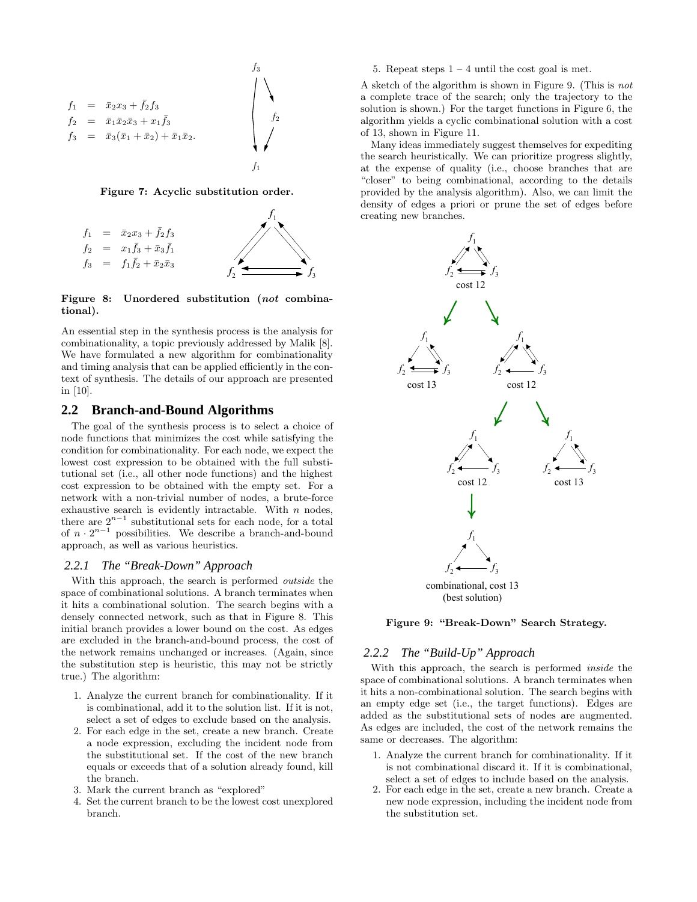

Figure 7: Acyclic substitution order.



Figure 8: Unordered substitution (not combinational).

An essential step in the synthesis process is the analysis for combinationality, a topic previously addressed by Malik [8]. We have formulated a new algorithm for combinationality and timing analysis that can be applied efficiently in the context of synthesis. The details of our approach are presented in [10].

#### **2.2 Branch-and-Bound Algorithms**

The goal of the synthesis process is to select a choice of node functions that minimizes the cost while satisfying the condition for combinationality. For each node, we expect the lowest cost expression to be obtained with the full substitutional set (i.e., all other node functions) and the highest cost expression to be obtained with the empty set. For a network with a non-trivial number of nodes, a brute-force exhaustive search is evidently intractable. With  $n$  nodes, there are  $2^{n-1}$  substitutional sets for each node, for a total of  $n \cdot 2^{n-1}$  possibilities. We describe a branch-and-bound approach, as well as various heuristics.

#### *2.2.1 The "Break-Down" Approach*

With this approach, the search is performed outside the space of combinational solutions. A branch terminates when it hits a combinational solution. The search begins with a densely connected network, such as that in Figure 8. This initial branch provides a lower bound on the cost. As edges are excluded in the branch-and-bound process, the cost of the network remains unchanged or increases. (Again, since the substitution step is heuristic, this may not be strictly true.) The algorithm:

- 1. Analyze the current branch for combinationality. If it is combinational, add it to the solution list. If it is not, select a set of edges to exclude based on the analysis.
- 2. For each edge in the set, create a new branch. Create a node expression, excluding the incident node from the substitutional set. If the cost of the new branch equals or exceeds that of a solution already found, kill the branch.
- 3. Mark the current branch as "explored"
- 4. Set the current branch to be the lowest cost unexplored branch.

5. Repeat steps  $1 - 4$  until the cost goal is met.

A sketch of the algorithm is shown in Figure 9. (This is not a complete trace of the search; only the trajectory to the solution is shown.) For the target functions in Figure 6, the algorithm yields a cyclic combinational solution with a cost of 13, shown in Figure 11.

Many ideas immediately suggest themselves for expediting the search heuristically. We can prioritize progress slightly, at the expense of quality (i.e., choose branches that are "closer" to being combinational, according to the details provided by the analysis algorithm). Also, we can limit the density of edges a priori or prune the set of edges before creating new branches.



Figure 9: "Break-Down" Search Strategy.

## *2.2.2 The "Build-Up" Approach*

With this approach, the search is performed inside the space of combinational solutions. A branch terminates when it hits a non-combinational solution. The search begins with an empty edge set (i.e., the target functions). Edges are added as the substitutional sets of nodes are augmented. As edges are included, the cost of the network remains the same or decreases. The algorithm:

- 1. Analyze the current branch for combinationality. If it is not combinational discard it. If it is combinational, select a set of edges to include based on the analysis.
- 2. For each edge in the set, create a new branch. Create a new node expression, including the incident node from the substitution set.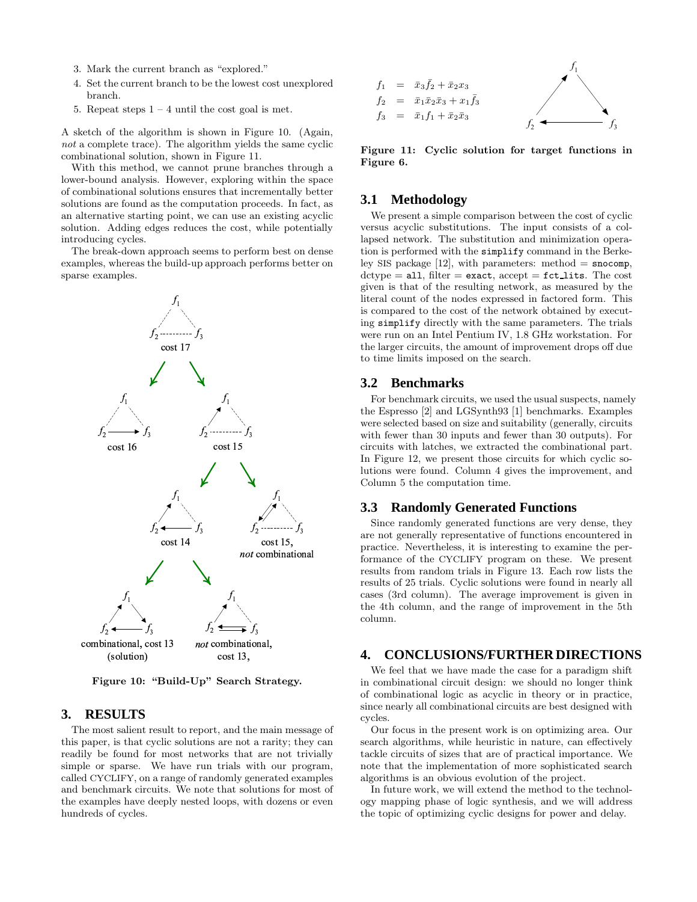- 3. Mark the current branch as "explored."
- 4. Set the current branch to be the lowest cost unexplored branch.
- 5. Repeat steps  $1 4$  until the cost goal is met.

A sketch of the algorithm is shown in Figure 10. (Again, not a complete trace). The algorithm yields the same cyclic combinational solution, shown in Figure 11.

With this method, we cannot prune branches through a lower-bound analysis. However, exploring within the space of combinational solutions ensures that incrementally better solutions are found as the computation proceeds. In fact, as an alternative starting point, we can use an existing acyclic solution. Adding edges reduces the cost, while potentially introducing cycles.

The break-down approach seems to perform best on dense examples, whereas the build-up approach performs better on sparse examples.



Figure 10: "Build-Up" Search Strategy.

## **3. RESULTS**

The most salient result to report, and the main message of this paper, is that cyclic solutions are not a rarity; they can readily be found for most networks that are not trivially simple or sparse. We have run trials with our program, called CYCLIFY, on a range of randomly generated examples and benchmark circuits. We note that solutions for most of the examples have deeply nested loops, with dozens or even hundreds of cycles.



Figure 11: Cyclic solution for target functions in Figure 6.

## **3.1 Methodology**

We present a simple comparison between the cost of cyclic versus acyclic substitutions. The input consists of a collapsed network. The substitution and minimization operation is performed with the simplify command in the Berkeley SIS package [12], with parameters: method  $=$  snocomp,  $dctype = all$ , filter = exact,  $accept = fct$ **lits**. The cost given is that of the resulting network, as measured by the literal count of the nodes expressed in factored form. This is compared to the cost of the network obtained by executing simplify directly with the same parameters. The trials were run on an Intel Pentium IV, 1.8 GHz workstation. For the larger circuits, the amount of improvement drops off due to time limits imposed on the search.

### **3.2 Benchmarks**

For benchmark circuits, we used the usual suspects, namely the Espresso [2] and LGSynth93 [1] benchmarks. Examples were selected based on size and suitability (generally, circuits with fewer than 30 inputs and fewer than 30 outputs). For circuits with latches, we extracted the combinational part. In Figure 12, we present those circuits for which cyclic solutions were found. Column 4 gives the improvement, and Column 5 the computation time.

#### **3.3 Randomly Generated Functions**

Since randomly generated functions are very dense, they are not generally representative of functions encountered in practice. Nevertheless, it is interesting to examine the performance of the CYCLIFY program on these. We present results from random trials in Figure 13. Each row lists the results of 25 trials. Cyclic solutions were found in nearly all cases (3rd column). The average improvement is given in the 4th column, and the range of improvement in the 5th column.

## **4. CONCLUSIONS/FURTHER DIRECTIONS**

We feel that we have made the case for a paradigm shift in combinational circuit design: we should no longer think of combinational logic as acyclic in theory or in practice, since nearly all combinational circuits are best designed with cycles.

Our focus in the present work is on optimizing area. Our search algorithms, while heuristic in nature, can effectively tackle circuits of sizes that are of practical importance. We note that the implementation of more sophisticated search algorithms is an obvious evolution of the project.

In future work, we will extend the method to the technology mapping phase of logic synthesis, and we will address the topic of optimizing cyclic designs for power and delay.